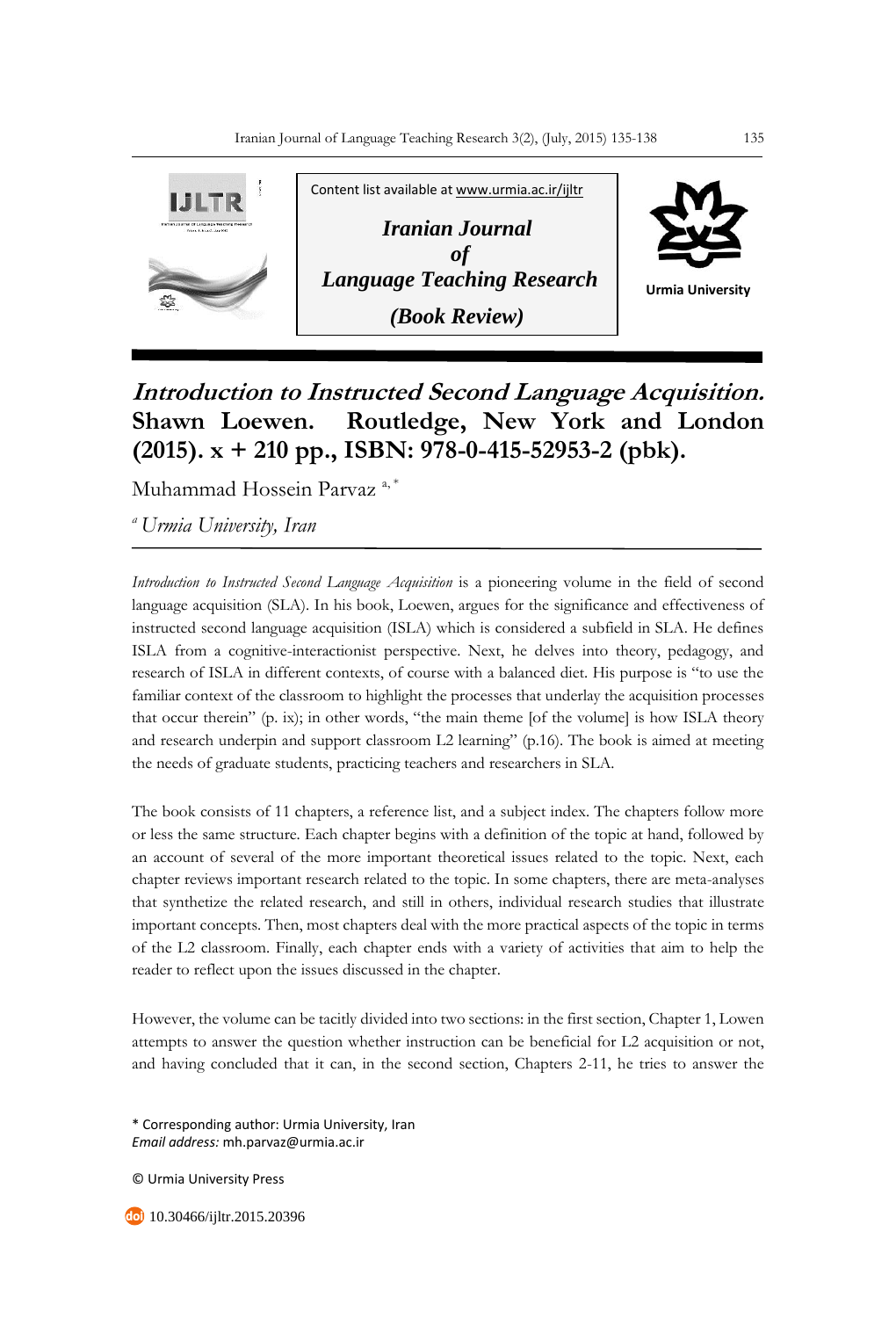

## **Introduction to Instructed Second Language Acquisition. Shawn Loewen. Routledge, New York and London (2015). x + 210 pp., ISBN: 978-0-415-52953-2 (pbk).**

Muhammad Hossein Parvaz<sup>a,\*</sup>

*<sup>a</sup>Urmia University, Iran*

*Introduction to Instructed Second Language Acquisition* is a pioneering volume in the field of second language acquisition (SLA). In his book, Loewen, argues for the significance and effectiveness of instructed second language acquisition (ISLA) which is considered a subfield in SLA. He defines ISLA from a cognitive-interactionist perspective. Next, he delves into theory, pedagogy, and research of ISLA in different contexts, of course with a balanced diet. His purpose is "to use the familiar context of the classroom to highlight the processes that underlay the acquisition processes that occur therein" (p. ix); in other words, "the main theme [of the volume] is how ISLA theory and research underpin and support classroom L2 learning" (p.16). The book is aimed at meeting the needs of graduate students, practicing teachers and researchers in SLA.

The book consists of 11 chapters, a reference list, and a subject index. The chapters follow more or less the same structure. Each chapter begins with a definition of the topic at hand, followed by an account of several of the more important theoretical issues related to the topic. Next, each chapter reviews important research related to the topic. In some chapters, there are meta-analyses that synthetize the related research, and still in others, individual research studies that illustrate important concepts. Then, most chapters deal with the more practical aspects of the topic in terms of the L2 classroom. Finally, each chapter ends with a variety of activities that aim to help the reader to reflect upon the issues discussed in the chapter.

However, the volume can be tacitly divided into two sections: in the first section, Chapter 1, Lowen attempts to answer the question whether instruction can be beneficial for L2 acquisition or not, and having concluded that it can, in the second section, Chapters 2-11, he tries to answer the

\* Corresponding author: Urmia University, Iran *Email address:* mh.parvaz@urmia.ac.ir

© Urmia University Press

10.30466/ijltr.2015.20396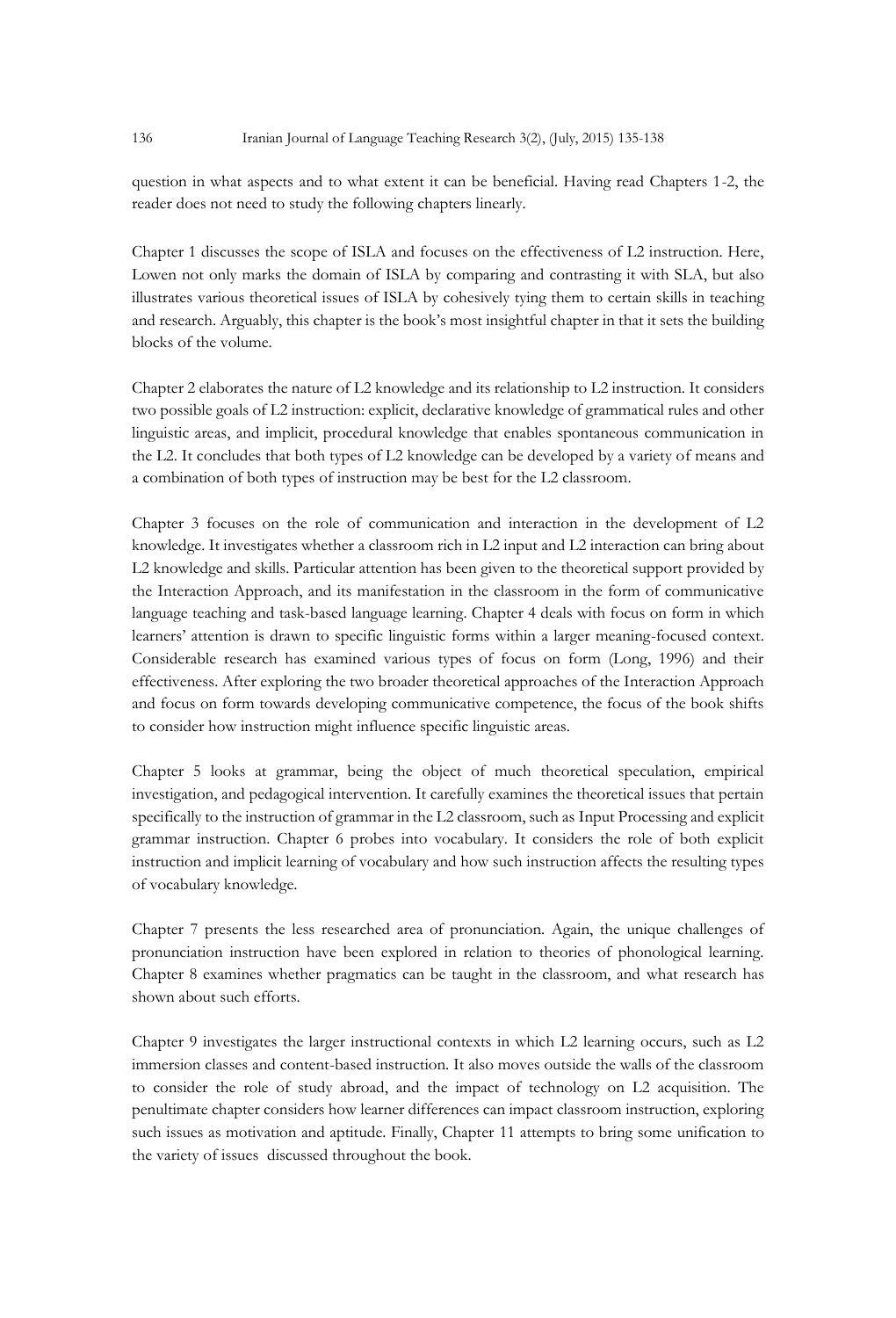question in what aspects and to what extent it can be beneficial. Having read Chapters 1-2, the reader does not need to study the following chapters linearly.

Chapter 1 discusses the scope of ISLA and focuses on the effectiveness of L2 instruction. Here, Lowen not only marks the domain of ISLA by comparing and contrasting it with SLA, but also illustrates various theoretical issues of ISLA by cohesively tying them to certain skills in teaching and research. Arguably, this chapter is the book's most insightful chapter in that it sets the building blocks of the volume.

Chapter 2 elaborates the nature of L2 knowledge and its relationship to L2 instruction. It considers two possible goals of L2 instruction: explicit, declarative knowledge of grammatical rules and other linguistic areas, and implicit, procedural knowledge that enables spontaneous communication in the L2. It concludes that both types of L2 knowledge can be developed by a variety of means and a combination of both types of instruction may be best for the L2 classroom.

Chapter 3 focuses on the role of communication and interaction in the development of L2 knowledge. It investigates whether a classroom rich in L2 input and L2 interaction can bring about L2 knowledge and skills. Particular attention has been given to the theoretical support provided by the Interaction Approach, and its manifestation in the classroom in the form of communicative language teaching and task-based language learning. Chapter 4 deals with focus on form in which learners' attention is drawn to specific linguistic forms within a larger meaning-focused context. Considerable research has examined various types of focus on form (Long, 1996) and their effectiveness. After exploring the two broader theoretical approaches of the Interaction Approach and focus on form towards developing communicative competence, the focus of the book shifts to consider how instruction might influence specific linguistic areas.

Chapter 5 looks at grammar, being the object of much theoretical speculation, empirical investigation, and pedagogical intervention. It carefully examines the theoretical issues that pertain specifically to the instruction of grammar in the L2 classroom, such as Input Processing and explicit grammar instruction. Chapter 6 probes into vocabulary. It considers the role of both explicit instruction and implicit learning of vocabulary and how such instruction affects the resulting types of vocabulary knowledge.

Chapter 7 presents the less researched area of pronunciation. Again, the unique challenges of pronunciation instruction have been explored in relation to theories of phonological learning. Chapter 8 examines whether pragmatics can be taught in the classroom, and what research has shown about such efforts.

Chapter 9 investigates the larger instructional contexts in which L2 learning occurs, such as L2 immersion classes and content-based instruction. It also moves outside the walls of the classroom to consider the role of study abroad, and the impact of technology on L2 acquisition. The penultimate chapter considers how learner differences can impact classroom instruction, exploring such issues as motivation and aptitude. Finally, Chapter 11 attempts to bring some unification to the variety of issues discussed throughout the book.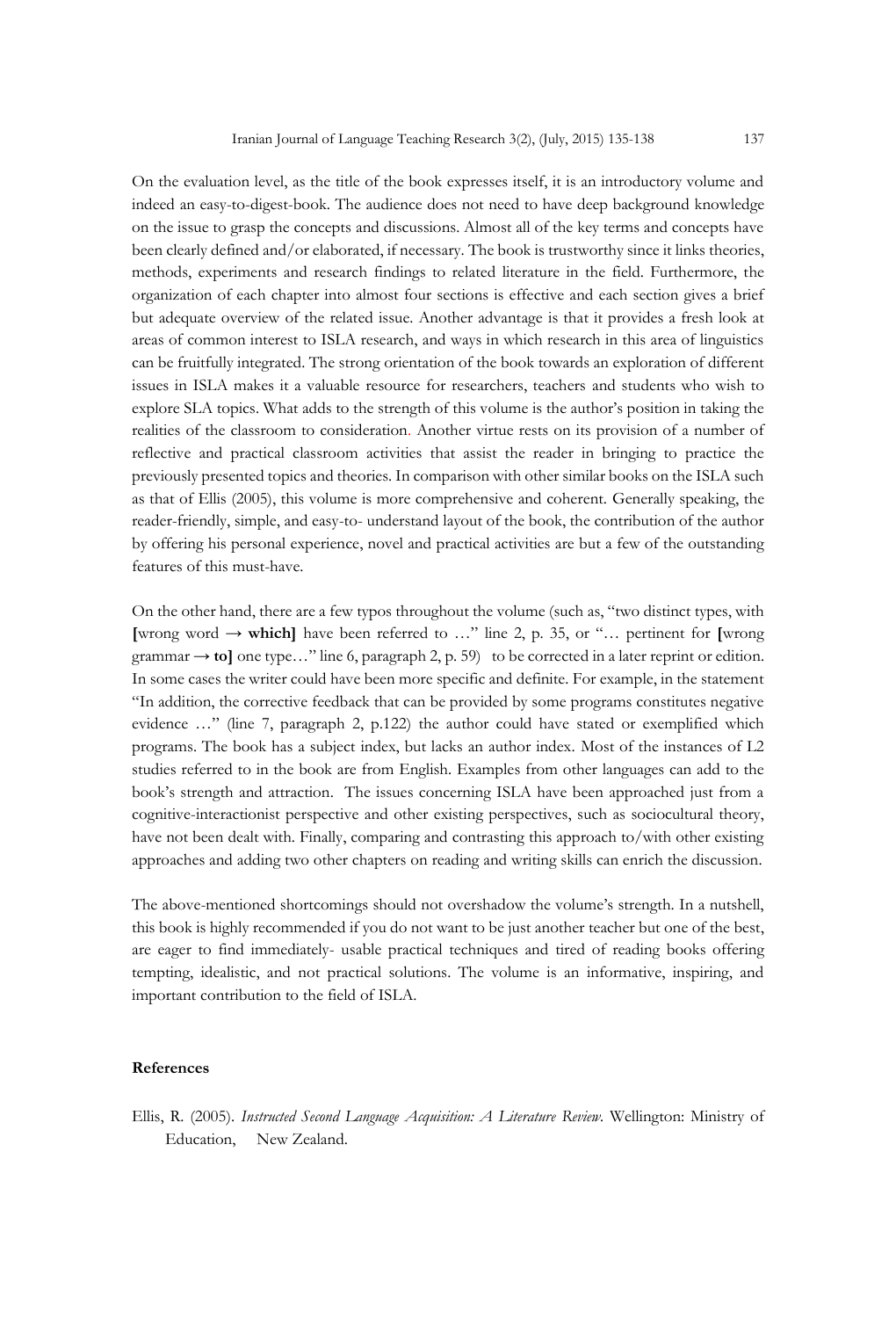On the evaluation level, as the title of the book expresses itself, it is an introductory volume and indeed an easy-to-digest-book. The audience does not need to have deep background knowledge on the issue to grasp the concepts and discussions. Almost all of the key terms and concepts have been clearly defined and/or elaborated, if necessary. The book is trustworthy since it links theories, methods, experiments and research findings to related literature in the field. Furthermore, the organization of each chapter into almost four sections is effective and each section gives a brief but adequate overview of the related issue. Another advantage is that it provides a fresh look at areas of common interest to ISLA research, and ways in which research in this area of linguistics can be fruitfully integrated. The strong orientation of the book towards an exploration of different issues in ISLA makes it a valuable resource for researchers, teachers and students who wish to explore SLA topics. What adds to the strength of this volume is the author's position in taking the realities of the classroom to consideration. Another virtue rests on its provision of a number of reflective and practical classroom activities that assist the reader in bringing to practice the previously presented topics and theories. In comparison with other similar books on the ISLA such as that of Ellis (2005), this volume is more comprehensive and coherent. Generally speaking, the reader-friendly, simple, and easy-to- understand layout of the book, the contribution of the author by offering his personal experience, novel and practical activities are but a few of the outstanding features of this must-have.

On the other hand, there are a few typos throughout the volume (such as, "two distinct types, with **[**wrong word **→ which]** have been referred to …" line 2, p. 35, or "… pertinent for **[**wrong grammar  $\rightarrow$  to] one type..." line 6, paragraph 2, p. 59) to be corrected in a later reprint or edition. In some cases the writer could have been more specific and definite. For example, in the statement "In addition, the corrective feedback that can be provided by some programs constitutes negative evidence …" (line 7, paragraph 2, p.122) the author could have stated or exemplified which programs. The book has a subject index, but lacks an author index. Most of the instances of L2 studies referred to in the book are from English. Examples from other languages can add to the book's strength and attraction. The issues concerning ISLA have been approached just from a cognitive-interactionist perspective and other existing perspectives, such as sociocultural theory, have not been dealt with. Finally, comparing and contrasting this approach to/with other existing approaches and adding two other chapters on reading and writing skills can enrich the discussion.

The above-mentioned shortcomings should not overshadow the volume's strength. In a nutshell, this book is highly recommended if you do not want to be just another teacher but one of the best, are eager to find immediately- usable practical techniques and tired of reading books offering tempting, idealistic, and not practical solutions. The volume is an informative, inspiring, and important contribution to the field of ISLA.

## **References**

Ellis, R. (2005). *Instructed Second Language Acquisition: A Literature Review.* Wellington: Ministry of Education, New Zealand.